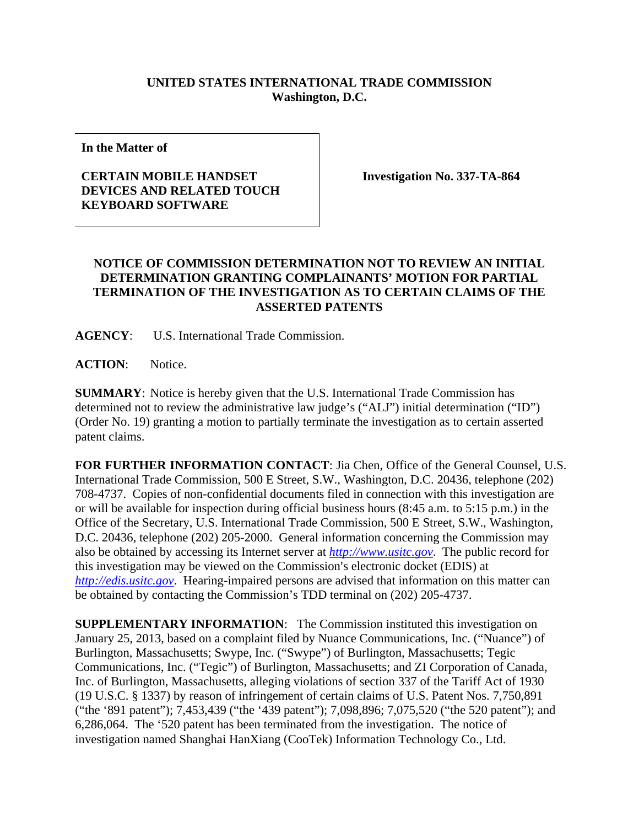## **UNITED STATES INTERNATIONAL TRADE COMMISSION Washington, D.C.**

**In the Matter of** 

## **CERTAIN MOBILE HANDSET DEVICES AND RELATED TOUCH KEYBOARD SOFTWARE**

**Investigation No. 337-TA-864** 

## **NOTICE OF COMMISSION DETERMINATION NOT TO REVIEW AN INITIAL DETERMINATION GRANTING COMPLAINANTS' MOTION FOR PARTIAL TERMINATION OF THE INVESTIGATION AS TO CERTAIN CLAIMS OF THE ASSERTED PATENTS**

**AGENCY**: U.S. International Trade Commission.

**ACTION**: Notice.

**SUMMARY**: Notice is hereby given that the U.S. International Trade Commission has determined not to review the administrative law judge's ("ALJ") initial determination ("ID") (Order No. 19) granting a motion to partially terminate the investigation as to certain asserted patent claims.

**FOR FURTHER INFORMATION CONTACT**: Jia Chen, Office of the General Counsel, U.S. International Trade Commission, 500 E Street, S.W., Washington, D.C. 20436, telephone (202) 708-4737. Copies of non-confidential documents filed in connection with this investigation are or will be available for inspection during official business hours (8:45 a.m. to 5:15 p.m.) in the Office of the Secretary, U.S. International Trade Commission, 500 E Street, S.W., Washington, D.C. 20436, telephone (202) 205-2000. General information concerning the Commission may also be obtained by accessing its Internet server at *http://www.usitc.gov*. The public record for this investigation may be viewed on the Commission's electronic docket (EDIS) at *http://edis.usitc.gov*. Hearing-impaired persons are advised that information on this matter can be obtained by contacting the Commission's TDD terminal on (202) 205-4737.

**SUPPLEMENTARY INFORMATION:** The Commission instituted this investigation on January 25, 2013, based on a complaint filed by Nuance Communications, Inc. ("Nuance") of Burlington, Massachusetts; Swype, Inc. ("Swype") of Burlington, Massachusetts; Tegic Communications, Inc. ("Tegic") of Burlington, Massachusetts; and ZI Corporation of Canada, Inc. of Burlington, Massachusetts, alleging violations of section 337 of the Tariff Act of 1930 (19 U.S.C. § 1337) by reason of infringement of certain claims of U.S. Patent Nos. 7,750,891 ("the '891 patent"); 7,453,439 ("the '439 patent"); 7,098,896; 7,075,520 ("the 520 patent"); and 6,286,064. The '520 patent has been terminated from the investigation. The notice of investigation named Shanghai HanXiang (CooTek) Information Technology Co., Ltd.